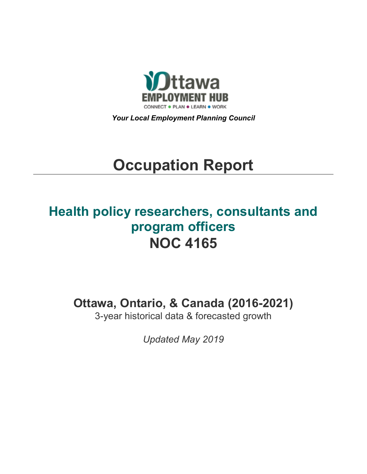

*Your Local Employment Planning Council*

# **Occupation Report**

# **Health policy researchers, consultants and program officers NOC 4165**

**Ottawa, Ontario, & Canada (2016-2021)**

3-year historical data & forecasted growth

*Updated May 2019*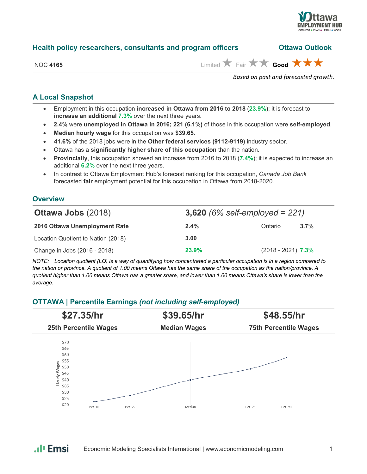

| Health policy researchers, consultants and program officers |  | <b>Ottawa Outlook</b> |
|-------------------------------------------------------------|--|-----------------------|
|-------------------------------------------------------------|--|-----------------------|

NOC 4165 **Limited** Fair **A** Fair **A** Good

*Based on past and forecasted growth.*

#### **A Local Snapshot**

- Employment in this occupation **increased in Ottawa from 2016 to 2018** (**23.9%**); it is forecast to **increase an additional 7.3%** over the next three years.
- **2.4%** were **unemployed in Ottawa in 2016; 221 (6.1%)** of those in this occupation were **self-employed**.
- **Median hourly wage** for this occupation was **\$39.65**.
- **41.6%** of the 2018 jobs were in the **Other federal services (9112-9119)** industry sector.
- Ottawa has a **significantly higher share of this occupation** than the nation.
- **Provincially**, this occupation showed an increase from 2016 to 2018 (**7.4%**); it is expected to increase an additional **6.2%** over the next three years.
- In contrast to Ottawa Employment Hub's forecast ranking for this occupation, *Canada Job Bank*  forecasted **fair** employment potential for this occupation in Ottawa from 2018-2020.

#### **Overview**

| <b>Ottawa Jobs (2018)</b>          | 3,620 (6% self-employed = $221$ ) |                      |         |
|------------------------------------|-----------------------------------|----------------------|---------|
| 2016 Ottawa Unemployment Rate      | $2.4\%$                           | Ontario              | $3.7\%$ |
| Location Quotient to Nation (2018) | 3.00                              |                      |         |
| Change in Jobs (2016 - 2018)       | 23.9%                             | $(2018 - 2021)$ 7.3% |         |

*NOTE: Location quotient (LQ) is a way of quantifying how concentrated a particular occupation is in a region compared to the nation or province. A quotient of 1.00 means Ottawa has the same share of the occupation as the nation/province. A quotient higher than 1.00 means Ottawa has a greater share, and lower than 1.00 means Ottawa's share is lower than the average.*

### **OTTAWA | Percentile Earnings** *(not including self-employed)*



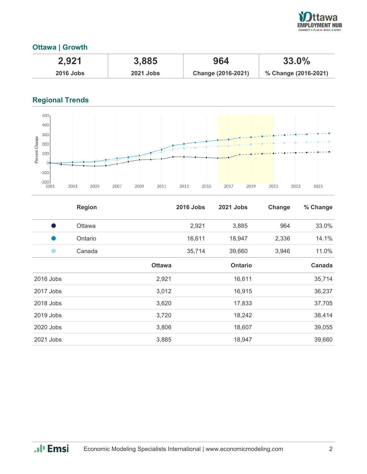

## **Ottawa | Growth**

| 2,921            | 3,885            | 964                | $33.0\%$             |
|------------------|------------------|--------------------|----------------------|
| <b>2016 Jobs</b> | <b>2021 Jobs</b> | Change (2016-2021) | % Change (2016-2021) |

# **Regional Trends**



|           | <b>Region</b> |               | <b>2016 Jobs</b> | <b>2021 Jobs</b> | Change | % Change |
|-----------|---------------|---------------|------------------|------------------|--------|----------|
| s,        | Ottawa        |               | 2,921            | 3,885            | 964    | 33.0%    |
|           | Ontario       |               | 16,611           | 18,947           | 2,336  | 14.1%    |
|           | Canada        |               | 35,714           | 39,660           | 3,946  | 11.0%    |
|           |               | <b>Ottawa</b> |                  | <b>Ontario</b>   |        | Canada   |
| 2016 Jobs |               | 2,921         |                  | 16,611           |        | 35,714   |
| 2017 Jobs |               | 3,012         |                  | 16,915           |        | 36,237   |
| 2018 Jobs |               | 3,620         |                  | 17,833           |        | 37,705   |
| 2019 Jobs |               | 3,720         |                  | 18,242           |        | 38,414   |
| 2020 Jobs |               | 3,806         |                  | 18,607           |        | 39,055   |
| 2021 Jobs |               | 3,885         |                  | 18,947           |        | 39,660   |

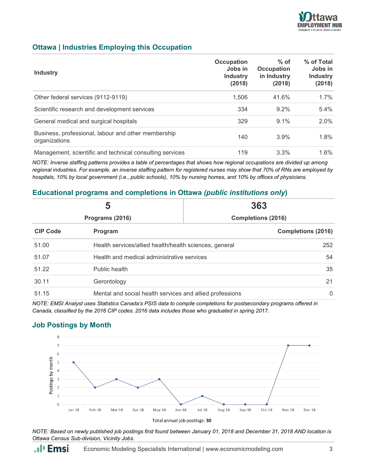

#### **Ottawa | Industries Employing this Occupation**

| <b>Industry</b>                                                      | Occupation<br>Jobs in<br><b>Industry</b><br>(2018) | $%$ of<br><b>Occupation</b><br>in Industry<br>(2018) | % of Total<br>Jobs in<br><b>Industry</b><br>(2018) |
|----------------------------------------------------------------------|----------------------------------------------------|------------------------------------------------------|----------------------------------------------------|
| Other federal services (9112-9119)                                   | 1.506                                              | 41.6%                                                | $1.7\%$                                            |
| Scientific research and development services                         | 334                                                | $9.2\%$                                              | $5.4\%$                                            |
| General medical and surgical hospitals                               | 329                                                | 9.1%                                                 | 2.0%                                               |
| Business, professional, labour and other membership<br>organizations | 140                                                | 3.9%                                                 | 1.8%                                               |
| Management, scientific and technical consulting services             | 119                                                | 3.3%                                                 | 1.6%                                               |

*NOTE: Inverse staffing patterns provides a table of percentages that shows how regional occupations are divided up among regional industries. For example, an inverse staffing pattern for registered nurses may show that 70% of RNs are employed by hospitals, 10% by local government (i.e., public schools), 10% by nursing homes, and 10% by offices of physicians.*

#### **Educational programs and completions in Ottawa** *(public institutions only***)**

| 5<br>Programs (2016) |                                                          | 363                       |  |
|----------------------|----------------------------------------------------------|---------------------------|--|
|                      |                                                          | <b>Completions (2016)</b> |  |
| <b>CIP Code</b>      | Program                                                  | <b>Completions (2016)</b> |  |
| 51.00                | Health services/allied health/health sciences, general   | 252                       |  |
| 51.07                | Health and medical administrative services               | 54                        |  |
| 51.22                | Public health                                            | 35                        |  |
| 30.11                | Gerontology                                              | 21                        |  |
| 51.15                | Mental and social health services and allied professions | 0                         |  |

*NOTE: EMSI Analyst uses Statistics Canada's PSIS data to compile completions for postsecondary programs offered in Canada, classified by the 2016 CIP codes. 2016 data includes those who graduated in spring 2017.*

#### **Job Postings by Month**



*NOTE: Based on newly published job postings first found between January 01, 2018 and December 31, 2018 AND location is Ottawa Census Sub-division, Vicinity Jobs.*